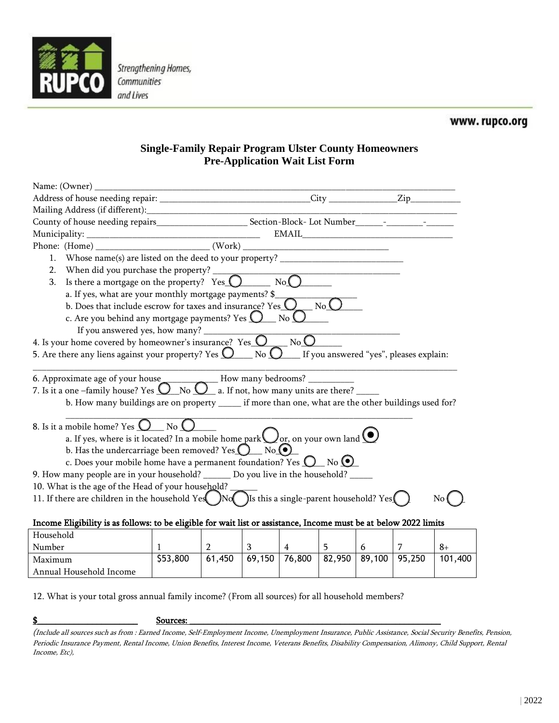

**Strengthening Homes,** Communities and Lives

## **Single-Family Repair Program Ulster County Homeowners Pre-Application Wait List Form**

| Name: (Owner)                                                                                                                                                                                                                                                                                                                                                      |                      |                |                |                        |                        |   |   |         |
|--------------------------------------------------------------------------------------------------------------------------------------------------------------------------------------------------------------------------------------------------------------------------------------------------------------------------------------------------------------------|----------------------|----------------|----------------|------------------------|------------------------|---|---|---------|
| Address of house needing repair: ________________________________City ______________Zip_____________                                                                                                                                                                                                                                                               |                      |                |                |                        |                        |   |   |         |
|                                                                                                                                                                                                                                                                                                                                                                    |                      |                |                |                        |                        |   |   |         |
|                                                                                                                                                                                                                                                                                                                                                                    |                      |                |                |                        |                        |   |   |         |
|                                                                                                                                                                                                                                                                                                                                                                    |                      |                |                |                        |                        |   |   |         |
|                                                                                                                                                                                                                                                                                                                                                                    |                      |                |                |                        |                        |   |   |         |
| Whose name(s) are listed on the deed to your property? __________________________<br>1.                                                                                                                                                                                                                                                                            |                      |                |                |                        |                        |   |   |         |
| 2.                                                                                                                                                                                                                                                                                                                                                                 |                      |                |                |                        |                        |   |   |         |
| When did you purchase the property? $\overline{Y}$ $\overline{Y}$ $\overline{Y}$ $\overline{Y}$ $\overline{Y}$ $\overline{Y}$ $\overline{Y}$ $\overline{Y}$ $\overline{Y}$ $\overline{Y}$ $\overline{Y}$ $\overline{Y}$ $\overline{Y}$ $\overline{Y}$ $\overline{Y}$ $\overline{Y}$ $\overline{Y}$ $\overline{Y}$ $\overline{Y}$ $\overline{Y}$ $\overline{$<br>3. |                      |                |                |                        |                        |   |   |         |
|                                                                                                                                                                                                                                                                                                                                                                    |                      |                |                |                        |                        |   |   |         |
| a. If yes, what are your monthly mortgage payments? $\$\_$ b. Does that include escrow for taxes and insurance? Yes $\bigcirc$ No $\bigcirc$                                                                                                                                                                                                                       |                      |                |                |                        |                        |   |   |         |
| c. Are you behind any mortgage payments? Yes $\bigcup$ No $\bigcup$                                                                                                                                                                                                                                                                                                |                      |                |                |                        |                        |   |   |         |
|                                                                                                                                                                                                                                                                                                                                                                    |                      |                |                |                        |                        |   |   |         |
| 4. Is your home covered by homeowner's insurance? Yes $\overline{\mathbb{O}_{\mathbb{C}}\mathbb{N}_{0}\mathbb{O}}$                                                                                                                                                                                                                                                 |                      |                |                |                        |                        |   |   |         |
| 5. Are there any liens against your property? Yes $\bigcirc$ No $\bigcirc$ If you answered "yes", pleases explain:                                                                                                                                                                                                                                                 |                      |                |                |                        |                        |   |   |         |
| 6. Approximate age of your house______________How many bedrooms? _______________<br>7. Is it a one -family house? Yes $\overline{O_{N0}O_{n}}$ a. If not, how many units are there?<br>b. How many buildings are on property _____ if more than one, what are the other buildings used for?                                                                        |                      |                |                |                        |                        |   |   |         |
| 8. Is it a mobile home? Yes $\bigcirc$ No $\bigcirc$                                                                                                                                                                                                                                                                                                               |                      |                |                |                        |                        |   |   |         |
| a. If yes, where is it located? In a mobile home park $\bigcup_{\text{or, on your own land}} \bigcirc$                                                                                                                                                                                                                                                             |                      |                |                |                        |                        |   |   |         |
| b. Has the undercarriage been removed? Yes $\bigcirc$ No.                                                                                                                                                                                                                                                                                                          |                      |                |                |                        |                        |   |   |         |
| c. Does your mobile home have a permanent foundation? Yes $\mathbb{Q}$ No $\mathbb{Q}$                                                                                                                                                                                                                                                                             |                      |                |                |                        |                        |   |   |         |
| 9. How many people are in your household? _______ Do you live in the household? _____                                                                                                                                                                                                                                                                              |                      |                |                |                        |                        |   |   |         |
| 10. What is the age of the Head of your household?                                                                                                                                                                                                                                                                                                                 |                      |                |                |                        |                        |   |   |         |
| 11. If there are children in the household Yes $\bigcirc$ No Is this a single-parent household? Yes                                                                                                                                                                                                                                                                |                      |                |                |                        |                        |   |   | No      |
|                                                                                                                                                                                                                                                                                                                                                                    |                      |                |                |                        |                        |   |   |         |
| Income Eligibility is as follows: to be eligible for wait list or assistance, Income must be at below 2022 limits                                                                                                                                                                                                                                                  |                      |                |                |                        |                        |   |   |         |
| Household                                                                                                                                                                                                                                                                                                                                                          |                      |                |                |                        |                        |   |   |         |
| Number                                                                                                                                                                                                                                                                                                                                                             | $\mathbf{1}$         | $\overline{2}$ | 3 <sup>7</sup> | $\overline{4}$         | 5                      | 6 | 7 | $8+$    |
| Maximum                                                                                                                                                                                                                                                                                                                                                            | $\overline{553,800}$ |                |                | $61,450$ 69,150 76,800 | $82,950$ 89,100 95,250 |   |   | 101,400 |
| Annual Household Income                                                                                                                                                                                                                                                                                                                                            |                      |                |                |                        |                        |   |   |         |

12. What is your total gross annual family income? (From all sources) for all household members?

 $\bf\emph{S}$  , and the set of  $\bf\emph{S}$  surround  $\bf\emph{S}$  . Sources:  $\bf\emph{S}$  , and  $\bf\emph{S}$  , and  $\bf\emph{S}$  , and  $\bf\emph{S}$  , and  $\bf\emph{S}$  , and  $\bf\emph{S}$  , and  $\bf\emph{S}$  , and  $\bf\emph{S}$  , and  $\bf\emph{S}$  , an

<sup>(</sup>Include all sources such as from : Earned Income, Self-Employment Income, Unemployment Insurance, Public Assistance, Social Security Benefits, Pension, Periodic Insurance Payment, Rental Income, Union Benefits, Interest Income, Veterans Benefits, Disability Compensation, Alimony, Child Support, Rental Income, Etc),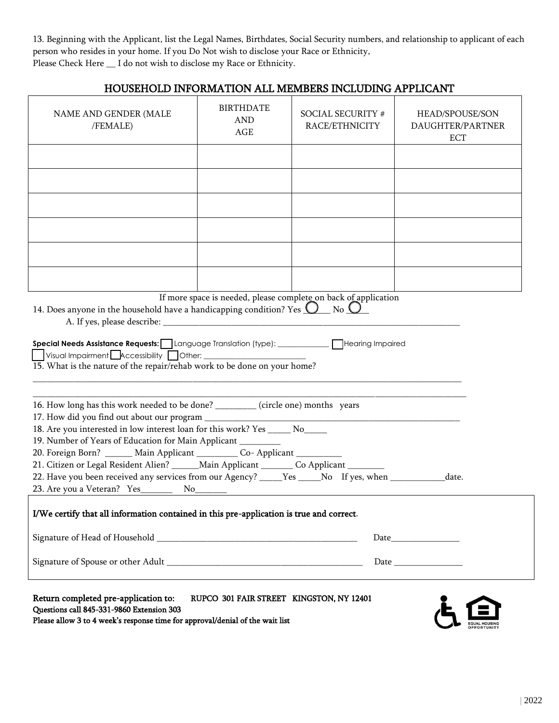13. Beginning with the Applicant, list the Legal Names, Birthdates, Social Security numbers, and relationship to applicant of each person who resides in your home. If you Do Not wish to disclose your Race or Ethnicity, Please Check Here  $\_$  I do not wish to disclose my Race or Ethnicity.

|                                                                                                                                                                                                                                                                                                                                                                                                   |                                              | HOUSEHOLD INFORMATION ALL MEMBERS INCLUDING APPLICANT |                                                   |
|---------------------------------------------------------------------------------------------------------------------------------------------------------------------------------------------------------------------------------------------------------------------------------------------------------------------------------------------------------------------------------------------------|----------------------------------------------|-------------------------------------------------------|---------------------------------------------------|
| NAME AND GENDER (MALE<br>/FEMALE)                                                                                                                                                                                                                                                                                                                                                                 | <b>BIRTHDATE</b><br><b>AND</b><br><b>AGE</b> | SOCIAL SECURITY #<br>RACE/ETHNICITY                   | HEAD/SPOUSE/SON<br>DAUGHTER/PARTNER<br><b>ECT</b> |
|                                                                                                                                                                                                                                                                                                                                                                                                   |                                              |                                                       |                                                   |
|                                                                                                                                                                                                                                                                                                                                                                                                   |                                              |                                                       |                                                   |
|                                                                                                                                                                                                                                                                                                                                                                                                   |                                              |                                                       |                                                   |
|                                                                                                                                                                                                                                                                                                                                                                                                   |                                              |                                                       |                                                   |
|                                                                                                                                                                                                                                                                                                                                                                                                   |                                              |                                                       |                                                   |
|                                                                                                                                                                                                                                                                                                                                                                                                   |                                              |                                                       |                                                   |
| 14. Does anyone in the household have a handicapping condition? Yes $Q$ No $Q^-$<br>Visual Impairment <b>Accessibility Other:</b> 1997 CHD Other:<br>15. What is the nature of the repair/rehab work to be done on your home?<br>16. How long has this work needed to be done? _______ (circle one) months years<br>18. Are you interested in low interest loan for this work? Yes ______ No_____ |                                              |                                                       |                                                   |
| 19. Number of Years of Education for Main Applicant _________<br>20. Foreign Born? ______ Main Applicant __________ Co- Applicant __________                                                                                                                                                                                                                                                      |                                              |                                                       |                                                   |
| 21. Citizen or Legal Resident Alien? ______ Main Applicant ________ Co Applicant _______<br>22. Have you been received any services from our Agency? _____Yes _____No If yes, when ___________                                                                                                                                                                                                    |                                              |                                                       | date.                                             |
| I/We certify that all information contained in this pre-application is true and correct.                                                                                                                                                                                                                                                                                                          |                                              |                                                       |                                                   |
|                                                                                                                                                                                                                                                                                                                                                                                                   |                                              |                                                       | Date                                              |
|                                                                                                                                                                                                                                                                                                                                                                                                   |                                              |                                                       |                                                   |
| Return completed pre-application to:<br>Questions call 845-331-9860 Extension 303<br>Please allow 3 to 4 week's response time for approval/denial of the wait list                                                                                                                                                                                                                                | RUPCO 301 FAIR STREET KINGSTON, NY 12401     |                                                       |                                                   |

EQUAL HOUSING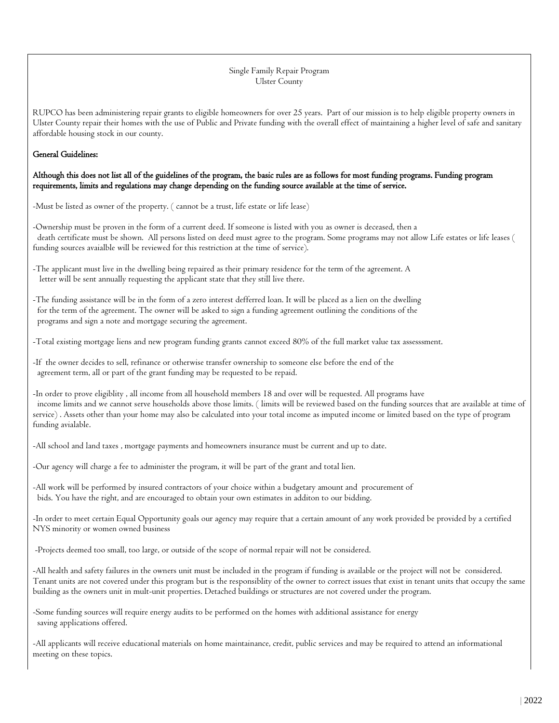## Single Family Repair Program Ulster County

RUPCO has been administering repair grants to eligible homeowners for over 25 years. Part of our mission is to help eligible property owners in Ulster County repair their homes with the use of Public and Private funding with the overall effect of maintaining a higher level of safe and sanitary affordable housing stock in our county.

## General Guidelines:

Although this does not list all of the guidelines of the program, the basic rules are as follows for most funding programs. Funding program requirements, limits and regulations may change depending on the funding source available at the time of service.

-Must be listed as owner of the property. ( cannot be a trust, life estate or life lease)

-Ownership must be proven in the form of a current deed. If someone is listed with you as owner is deceased, then a death certificate must be shown. All persons listed on deed must agree to the program. Some programs may not allow Life estates or life leases ( funding sources avaialble will be reviewed for this restriction at the time of service).

-The applicant must live in the dwelling being repaired as their primary residence for the term of the agreement. A letter will be sent annually requesting the applicant state that they still live there.

-The funding assistance will be in the form of a zero interest defferred loan. It will be placed as a lien on the dwelling for the term of the agreement. The owner will be asked to sign a funding agreement outlining the conditions of the programs and sign a note and mortgage securing the agreement.

-Total existing mortgage liens and new program funding grants cannot exceed 80% of the full market value tax assesssment.

-If the owner decides to sell, refinance or otherwise transfer ownership to someone else before the end of the agreement term, all or part of the grant funding may be requested to be repaid.

-In order to prove eligiblity , all income from all household members 18 and over will be requested. All programs have income limits and we cannot serve households above those limits. ( limits will be reviewed based on the funding sources that are available at time of service) . Assets other than your home may also be calculated into your total income as imputed income or limited based on the type of program funding avialable.

-All school and land taxes , mortgage payments and homeowners insurance must be current and up to date.

-Our agency will charge a fee to administer the program, it will be part of the grant and total lien.

-All work will be performed by insured contractors of your choice within a budgetary amount and procurement of bids. You have the right, and are encouraged to obtain your own estimates in additon to our bidding.

-In order to meet certain Equal Opportunity goals our agency may require that a certain amount of any work provided be provided by a certified NYS minority or women owned business

-Projects deemed too small, too large, or outside of the scope of normal repair will not be considered.

-All health and safety failures in the owners unit must be included in the program if funding is available or the project will not be considered. Tenant units are not covered under this program but is the responsiblity of the owner to correct issues that exist in tenant units that occupy the same building as the owners unit in mult-unit properties. Detached buildings or structures are not covered under the program.

-Some funding sources will require energy audits to be performed on the homes with additional assistance for energy saving applications offered.

-All applicants will receive educational materials on home maintainance, credit, public services and may be required to attend an informational meeting on these topics.